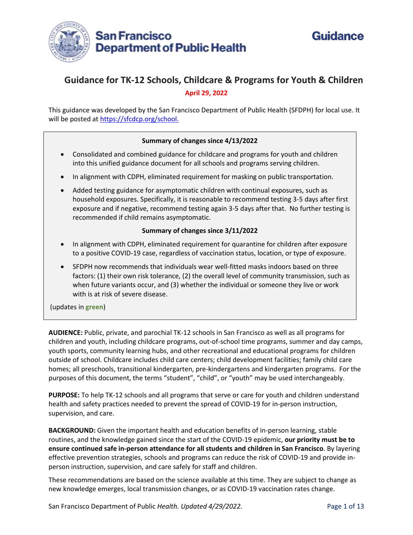



# **Guidance for TK-12 Schools, Childcare & Programs for Youth & Children April 29, 2022**

This guidance was developed by the San Francisco Department of Public Health (SFDPH) for local use. It will be posted at [https://sfcdcp.org/school.](https://sfcdcp.org/school)

#### **Summary of changes since 4/13/2022**

- Consolidated and combined guidance for childcare and programs for youth and children into this unified guidance document for all schools and programs serving children.
- In alignment with CDPH, eliminated requirement for masking on public transportation.
- Added testing guidance for asymptomatic children with continual exposures, such as household exposures. Specifically, it is reasonable to recommend testing 3-5 days after first exposure and if negative, recommend testing again 3-5 days after that. No further testing is recommended if child remains asymptomatic.

#### **Summary of changes since 3/11/2022**

- In alignment with CDPH, eliminated requirement for quarantine for children after exposure to a positive COVID-19 case, regardless of vaccination status, location, or type of exposure.
- SFDPH now recommends that individuals wear well-fitted masks indoors based on three factors: (1) their own risk tolerance, (2) the overall level of community transmission, such as when future variants occur, and (3) whether the individual or someone they live or work with is at risk of severe disease.

(updates in **green**)

**AUDIENCE:** Public, private, and parochial TK-12 schools in San Francisco as well as all programs for children and youth, including childcare programs, out-of-school time programs, summer and day camps, youth sports, community learning hubs, and other recreational and educational programs for children outside of school. Childcare includes child care centers; child development facilities; family child care homes; all preschools, transitional kindergarten, pre-kindergartens and kindergarten programs. For the purposes of this document, the terms "student", "child", or "youth" may be used interchangeably.

**PURPOSE:** To help TK-12 schools and all programs that serve or care for youth and children understand health and safety practices needed to prevent the spread of COVID-19 for in-person instruction, supervision, and care.

**BACKGROUND:** Given the important health and education benefits of in-person learning, stable routines, and the knowledge gained since the start of the COVID-19 epidemic, **our priority must be to ensure continued safe in-person attendance for all students and children in San Francisco**. By layering effective prevention strategies, schools and programs can reduce the risk of COVID-19 and provide inperson instruction, supervision, and care safely for staff and children.

These recommendations are based on the science available at this time. They are subject to change as new knowledge emerges, local transmission changes, or as COVID-19 vaccination rates change.

San Francisco Department of Public *Health. Updated 4/29/2022.* Page 1 of 13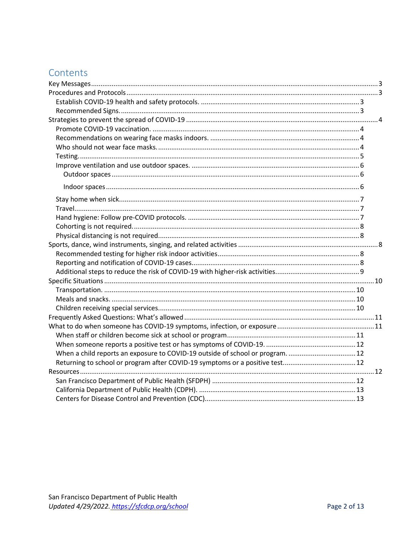# Contents

| When a child reports an exposure to COVID-19 outside of school or program 12 |  |
|------------------------------------------------------------------------------|--|
|                                                                              |  |
|                                                                              |  |
|                                                                              |  |
|                                                                              |  |
|                                                                              |  |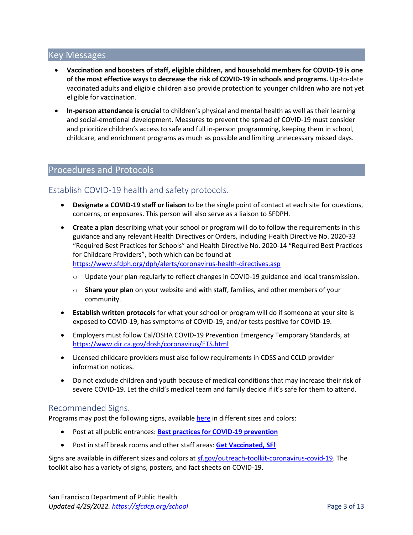### <span id="page-2-0"></span>Key Messages

- **Vaccination and boosters of staff, eligible children, and household members for COVID-19 is one of the most effective ways to decrease the risk of COVID-19 in schools and programs.** Up-to-date vaccinated adults and eligible children also provide protection to younger children who are not yet eligible for vaccination.
- **In-person attendance is crucial** to children's physical and mental health as well as their learning and social-emotional development. Measures to prevent the spread of COVID-19 must consider and prioritize children's access to safe and full in-person programming, keeping them in school, childcare, and enrichment programs as much as possible and limiting unnecessary missed days.

## <span id="page-2-1"></span>Procedures and Protocols

## <span id="page-2-2"></span>Establish COVID-19 health and safety protocols.

- **Designate a COVID-19 staff or liaison** to be the single point of contact at each site for questions, concerns, or exposures. This person will also serve as a liaison to SFDPH.
- **Create a plan** describing what your school or program will do to follow the requirements in this guidance and any relevant Health Directives or Orders, including Health Directive No. 2020-33 "Required Best Practices for Schools" and Health Directive No. 2020-14 "Required Best Practices for Childcare Providers", both which can be found at <https://www.sfdph.org/dph/alerts/coronavirus-health-directives.asp>
	- o Update your plan regularly to reflect changes in COVID-19 guidance and local transmission.
	- o **Share your plan** on your website and with staff, families, and other members of your community.
- **Establish written protocols** for what your school or program will do if someone at your site is exposed to COVID-19, has symptoms of COVID-19, and/or tests positive for COVID-19.
- Employers must follow Cal/OSHA COVID-19 Prevention Emergency Temporary Standards, at <https://www.dir.ca.gov/dosh/coronavirus/ETS.html>
- Licensed childcare providers must also follow requirements in CDSS and CCLD provider information notices.
- Do not exclude children and youth because of medical conditions that may increase their risk of severe COVID-19. Let the child's medical team and family decide if it's safe for them to attend.

### <span id="page-2-3"></span>Recommended Signs.

Programs may post the following signs, availabl[e here](http://sf.gov/outreach-toolkit-coronavirus-covid-19) in different sizes and colors:

- Post at all public entrances: **[Best practices for COVID-19 prevention](https://sf.gov/sites/default/files/2021-06/BestPractices-8.5x11-060921.pdf)**
- Post in staff break rooms and other staff areas: **[Get Vaccinated, SF!](https://sf.gov/sites/default/files/2021-06/GetVaccinated-white-8.5x11-060821.pdf)**

Signs are available in different sizes and colors a[t sf.gov/outreach-toolkit-coronavirus-covid-19.](https://sf.gov/outreach-toolkit-coronavirus-covid-19) The toolkit also has a variety of signs, posters, and fact sheets on COVID-19.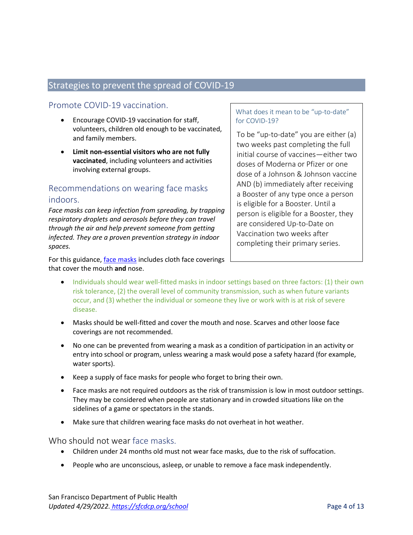## <span id="page-3-0"></span>Strategies to prevent the spread of COVID-19

## <span id="page-3-1"></span>Promote COVID-19 vaccination.

- Encourage COVID-19 vaccination for staff, volunteers, children old enough to be vaccinated, and family members.
- **Limit non-essential visitors who are not fully vaccinated**, including volunteers and activities involving external groups.

## <span id="page-3-2"></span>Recommendations on wearing face masks indoors.

*Face masks can keep infection from spreading, by trapping respiratory droplets and aerosols before they can travel through the air and help prevent someone from getting infected. They are a proven prevention strategy in indoor spaces.*

For this guidance[, face masks](https://www.cdc.gov/coronavirus/2019-ncov/prevent-getting-sick/about-face-coverings.html) includes cloth face coverings that cover the mouth **and** nose.

#### What does it mean to be "up-to-date" for COVID-19?

To be "up-to-date" you are either (a) two weeks past completing the full initial course of vaccines—either two doses of Moderna or Pfizer or one dose of a Johnson & Johnson vaccine AND (b) immediately after receiving a Booster of any type once a person is eligible for a Booster. Until a person is eligible for a Booster, they are considered Up-to-Date on Vaccination two weeks after completing their primary series.

- Individuals should wear well-fitted masks in indoor settings based on three factors: (1) their own risk tolerance, (2) the overall level of community transmission, such as when future variants occur, and (3) whether the individual or someone they live or work with is at risk of severe disease.
- Masks should be well-fitted and cover the mouth and nose. Scarves and other loose face coverings are not recommended.
- No one can be prevented from wearing a mask as a condition of participation in an activity or entry into school or program, unless wearing a mask would pose a safety hazard (for example, water sports).
- Keep a supply of face masks for people who forget to bring their own.
- Face masks are not required outdoors as the risk of transmission is low in most outdoor settings. They may be considered when people are stationary and in crowded situations like on the sidelines of a game or spectators in the stands.
- Make sure that children wearing face masks do not overheat in hot weather.

<span id="page-3-3"></span>Who should not wear face masks.

- Children under 24 months old must not wear face masks, due to the risk of suffocation.
- People who are unconscious, asleep, or unable to remove a face mask independently.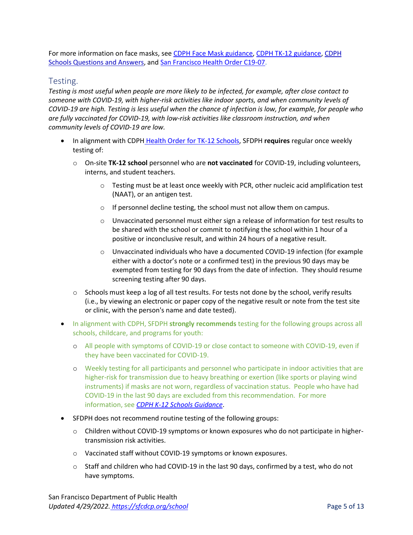For more information on face masks, see [CDPH Face Mask guidance,](https://www.cdph.ca.gov/Programs/CID/DCDC/Pages/COVID-19/guidance-for-face-coverings.aspx) [CDPH TK-12 guidance,](https://www.cdph.ca.gov/Programs/CID/DCDC/Pages/COVID-19/K-12-Guidance-2021-22-School-Year.aspx) [CDPH](https://www.cdph.ca.gov/Programs/CID/DCDC/Pages/COVID-19/Schools-FAQ.aspx)  [Schools Questions and Answers,](https://www.cdph.ca.gov/Programs/CID/DCDC/Pages/COVID-19/Schools-FAQ.aspx) an[d San Francisco Health Order C19-07.](https://www.sfdph.org/dph/alerts/coronavirus-healthorders.asp)

#### <span id="page-4-0"></span>Testing.

*Testing is most useful when people are more likely to be infected, for example, after close contact to someone with COVID-19, with higher-risk activities like indoor sports, and when community levels of COVID-19 are high. Testing is less useful when the chance of infection is low, for example, for people who are fully vaccinated for COVID-19, with low-risk activities like classroom instruction, and when community levels of COVID-19 are low.* 

- In alignment with CDPH [Health Order for TK-12 Schools,](https://www.cdph.ca.gov/Programs/CID/DCDC/Pages/COVID-19/Order-of-the-State-Public-Health-Officer-Vaccine-Verification-for-Workers-in-Schools.aspx?TSPD_101_R0=087ed344cfab20004f832bb48cdfe5762eb81e3b6c4cfeb5042cf54a3b120a8afb08c32c9b1309a108b99365181430003b2c3752d409f59cf44716e364f04f2671417b5b16e12a00de3c1cd73346a13f12597a52d7b6b90f30279e1f64fcfb3a) SFDPH **requires** regular once weekly testing of:
	- o On-site **TK-12 school** personnel who are **not vaccinated** for COVID-19, including volunteers, interns, and student teachers.
		- $\circ$  Testing must be at least once weekly with PCR, other nucleic acid amplification test (NAAT), or an antigen test.
		- o If personnel decline testing, the school must not allow them on campus.
		- $\circ$  Unvaccinated personnel must either sign a release of information for test results to be shared with the school or commit to notifying the school within 1 hour of a positive or inconclusive result, and within 24 hours of a negative result.
		- o Unvaccinated individuals who have a documented COVID-19 infection (for example either with a doctor's note or a confirmed test) in the previous 90 days may be exempted from testing for 90 days from the date of infection. They should resume screening testing after 90 days.
	- $\circ$  Schools must keep a log of all test results. For tests not done by the school, verify results (i.e., by viewing an electronic or paper copy of the negative result or note from the test site or clinic, with the person's name and date tested).
- In alignment with CDPH, SFDPH **strongly recommends** testing for the following groups across all schools, childcare, and programs for youth:
	- o All people with symptoms of COVID-19 or close contact to someone with COVID-19, even if they have been vaccinated for COVID-19.
	- o Weekly testing for all participants and personnel who participate in indoor activities that are higher-risk for transmission due to heavy breathing or exertion (like sports or playing wind instruments) if masks are not worn, regardless of vaccination status. People who have had COVID-19 in the last 90 days are excluded from this recommendation. For more information, see *[CDPH K-12 Schools Guidance](https://www.cdph.ca.gov/Programs/CID/DCDC/Pages/COVID-19/Schools-FAQ.aspx)*.
- SFDPH does not recommend routine testing of the following groups:
	- o Children without COVID-19 symptoms or known exposures who do not participate in highertransmission risk activities.
	- o Vaccinated staff without COVID-19 symptoms or known exposures.
	- $\circ$  Staff and children who had COVID-19 in the last 90 days, confirmed by a test, who do not have symptoms.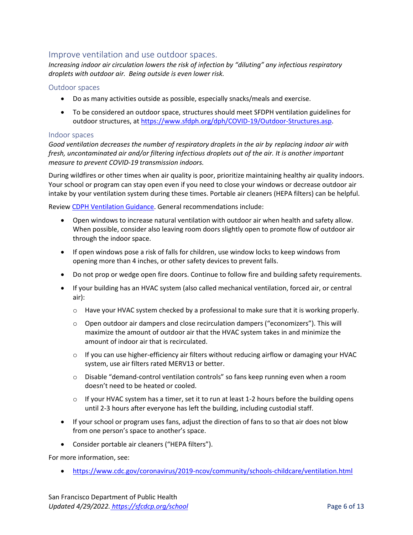### <span id="page-5-0"></span>Improve ventilation and use outdoor spaces.

*Increasing indoor air circulation lowers the risk of infection by "diluting" any infectious respiratory droplets with outdoor air. Being outside is even lower risk.*

#### <span id="page-5-1"></span>Outdoor spaces

- Do as many activities outside as possible, especially snacks/meals and exercise.
- To be considered an outdoor space, structures should meet SFDPH ventilation guidelines for outdoor structures, at [https://www.sfdph.org/dph/COVID-19/Outdoor-Structures.asp.](https://www.sfdph.org/dph/COVID-19/Outdoor-Structures.asp)

#### <span id="page-5-2"></span>Indoor spaces

*Good ventilation decreases the number of respiratory droplets in the air by replacing indoor air with fresh, uncontaminated air and/or filtering infectious droplets out of the air. It is another important measure to prevent COVID-19 transmission indoors.* 

During wildfires or other times when air quality is poor, prioritize maintaining healthy air quality indoors. Your school or program can stay open even if you need to close your windows or decrease outdoor air intake by your ventilation system during these times. Portable air cleaners (HEPA filters) can be helpful.

Review [CDPH Ventilation Guidance.](https://www.cdph.ca.gov/Programs/CID/DCDC/Pages/COVID-19/Interim-Guidance-for-Ventilation-Filtration-and-Air-Quality-in-Indoor-Environments.aspx) General recommendations include:

- Open windows to increase natural ventilation with outdoor air when health and safety allow. When possible, consider also leaving room doors slightly open to promote flow of outdoor air through the indoor space.
- If open windows pose a risk of falls for children, use window locks to keep windows from opening more than 4 inches, or other safety devices to prevent falls.
- Do not prop or wedge open fire doors. Continue to follow fire and building safety requirements.
- If your building has an HVAC system (also called mechanical ventilation, forced air, or central air):
	- $\circ$  Have your HVAC system checked by a professional to make sure that it is working properly.
	- o Open outdoor air dampers and close recirculation dampers ("economizers"). This will maximize the amount of outdoor air that the HVAC system takes in and minimize the amount of indoor air that is recirculated.
	- $\circ$  If you can use higher-efficiency air filters without reducing airflow or damaging your HVAC system, use air filters rated MERV13 or better.
	- o Disable "demand-control ventilation controls" so fans keep running even when a room doesn't need to be heated or cooled.
	- $\circ$  If your HVAC system has a timer, set it to run at least 1-2 hours before the building opens until 2-3 hours after everyone has left the building, including custodial staff.
- If your school or program uses fans, adjust the direction of fans to so that air does not blow from one person's space to another's space.
- Consider portable air cleaners ("HEPA filters").

For more information, see:

• <https://www.cdc.gov/coronavirus/2019-ncov/community/schools-childcare/ventilation.html>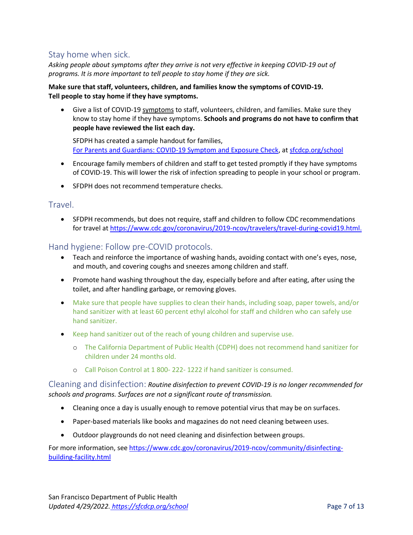## <span id="page-6-0"></span>Stay home when sick.

*Asking people about symptoms after they arrive is not very effective in keeping COVID-19 out of programs. It is more important to tell people to stay home if they are sick.* 

#### **Make sure that staff, volunteers, children, and families know the symptoms of COVID-19. Tell people to stay home if they have symptoms.**

• Give a list of COVID-19 [symptoms](https://www.sfdph.org/dph/files/ig/Parent-Guardian-Health-Check-Handout.pdf) to staff, volunteers, children, and families. Make sure they know to stay home if they have symptoms. **Schools and programs do not have to confirm that people have reviewed the list each day.** 

SFDPH has created a sample handout for families, [For Parents and Guardians: COVID-19 Symptom and Exposure Check,](https://www.sfdph.org/dph/files/ig/Parent-Guardian-Health-Check-Handout.pdf) a[t sfcdcp.org/school](https://sfcdcp.org/school)

- Encourage family members of children and staff to get tested promptly if they have symptoms of COVID-19. This will lower the risk of infection spreading to people in your school or program.
- SFDPH does not recommend temperature checks.

### <span id="page-6-1"></span>Travel.

• SFDPH recommends, but does not require, staff and children to follow CDC recommendations for travel at [https://www.cdc.gov/coronavirus/2019-ncov/travelers/travel-during-covid19.html.](https://www.cdc.gov/coronavirus/2019-ncov/travelers/travel-during-covid19.html)

### <span id="page-6-2"></span>Hand hygiene: Follow pre-COVID protocols.

- Teach and reinforce the importance of washing hands, avoiding contact with one's eyes, nose, and mouth, and covering coughs and sneezes among children and staff.
- Promote hand washing throughout the day, especially before and after eating, after using the toilet, and after handling garbage, or removing gloves.
- Make sure that people have supplies to clean their hands, including soap, paper towels, and/or hand sanitizer with at least 60 percent ethyl alcohol for staff and children who can safely use hand sanitizer.
- Keep hand sanitizer out of the reach of young children and supervise use.
	- o The California Department of Public Health (CDPH) does not recommend hand sanitizer for children under 24 months old.
	- o Call Poison Control at 1 800- 222- 1222 if hand sanitizer is consumed.

Cleaning and disinfection: *Routine disinfection to prevent COVID-19 is no longer recommended for schools and programs. Surfaces are not a significant route of transmission.*

- Cleaning once a day is usually enough to remove potential virus that may be on surfaces.
- Paper-based materials like books and magazines do not need cleaning between uses.
- Outdoor playgrounds do not need cleaning and disinfection between groups.

For more information, see [https://www.cdc.gov/coronavirus/2019-ncov/community/disinfecting](https://www.cdc.gov/coronavirus/2019-ncov/community/disinfecting-building-facility.html)[building-facility.html](https://www.cdc.gov/coronavirus/2019-ncov/community/disinfecting-building-facility.html)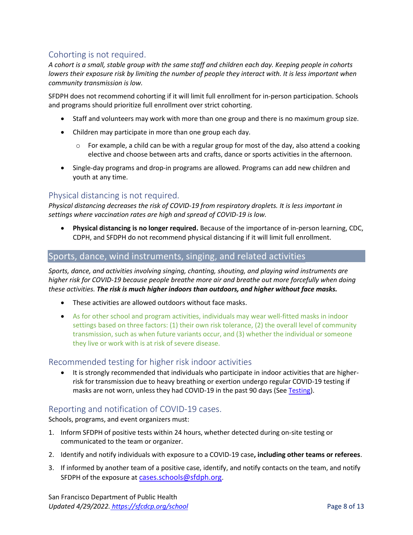## <span id="page-7-0"></span>Cohorting is not required.

*A cohort is a small, stable group with the same staff and children each day. Keeping people in cohorts lowers their exposure risk by limiting the number of people they interact with. It is less important when community transmission is low.* 

SFDPH does not recommend cohorting if it will limit full enrollment for in-person participation. Schools and programs should prioritize full enrollment over strict cohorting.

- Staff and volunteers may work with more than one group and there is no maximum group size.
- Children may participate in more than one group each day.
	- $\circ$  For example, a child can be with a regular group for most of the day, also attend a cooking elective and choose between arts and crafts, dance or sports activities in the afternoon.
- Single-day programs and drop-in programs are allowed. Programs can add new children and youth at any time.

## <span id="page-7-1"></span>Physical distancing is not required.

*Physical distancing decreases the risk of COVID-19 from respiratory droplets. It is less important in settings where vaccination rates are high and spread of COVID-19 is low.* 

• **Physical distancing is no longer required.** Because of the importance of in-person learning, CDC, CDPH, and SFDPH do not recommend physical distancing if it will limit full enrollment.

### <span id="page-7-2"></span>Sports, dance, wind instruments, singing, and related activities

*Sports, dance, and activities involving singing, chanting, shouting, and playing wind instruments are higher risk for COVID-19 because people breathe more air and breathe out more forcefully when doing these activities. The risk is much higher indoors than outdoors, and higher without face masks.*

- These activities are allowed outdoors without face masks.
- As for other school and program activities, individuals may wear well-fitted masks in indoor settings based on three factors: (1) their own risk tolerance, (2) the overall level of community transmission, such as when future variants occur, and (3) whether the individual or someone they live or work with is at risk of severe disease.

### <span id="page-7-3"></span>Recommended testing for higher risk indoor activities

• It is strongly recommended that individuals who participate in indoor activities that are higherrisk for transmission due to heavy breathing or exertion undergo regular COVID-19 testing if masks are not worn, unless they had COVID-19 in the past 90 days (See [Testing\)](#page-4-0).

### <span id="page-7-4"></span>Reporting and notification of COVID-19 cases.

Schools, programs, and event organizers must:

- 1. Inform SFDPH of positive tests within 24 hours, whether detected during on-site testing or communicated to the team or organizer.
- 2. Identify and notify individuals with exposure to a COVID-19 case**, including other teams or referees**.
- 3. If informed by another team of a positive case, identify, and notify contacts on the team, and notify SFDPH of the exposure at [cases.schools@sfdph.org](mailto:cases.schools@sfdph.org).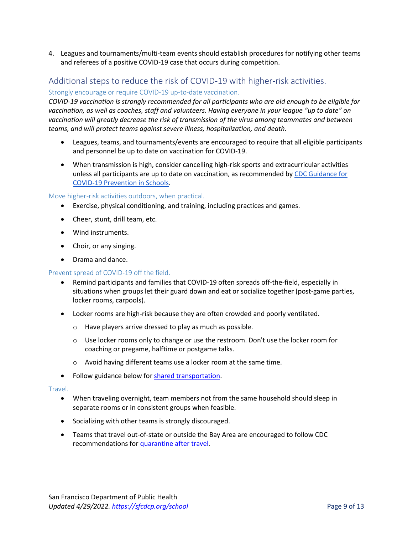4. Leagues and tournaments/multi-team events should establish procedures for notifying other teams and referees of a positive COVID-19 case that occurs during competition.

## <span id="page-8-0"></span>Additional steps to reduce the risk of COVID-19 with higher-risk activities.

#### Strongly encourage or require COVID-19 up-to-date vaccination.

*COVID-19 vaccination is strongly recommended for all participants who are old enough to be eligible for vaccination, as well as coaches, staff and volunteers. Having everyone in your league "up to date" on vaccination will greatly decrease the risk of transmission of the virus among teammates and between teams, and will protect teams against severe illness, hospitalization, and death.* 

- Leagues, teams, and tournaments/events are encouraged to require that all eligible participants and personnel be up to date on vaccination for COVID-19.
- When transmission is high, consider cancelling high-risk sports and extracurricular activities unless all participants are up to date on vaccination, as recommended b[y CDC Guidance for](https://www.cdc.gov/coronavirus/2019-ncov/community/schools-childcare/k-12-guidance.html#indicators)  [COVID-19 Prevention in Schools.](https://www.cdc.gov/coronavirus/2019-ncov/community/schools-childcare/k-12-guidance.html#indicators)

#### Move higher-risk activities outdoors, when practical.

- Exercise, physical conditioning, and training, including practices and games.
- Cheer, stunt, drill team, etc.
- Wind instruments.
- Choir, or any singing.
- Drama and dance.

#### Prevent spread of COVID-19 off the field.

- Remind participants and families that COVID-19 often spreads off-the-field, especially in situations when groups let their guard down and eat or socialize together (post-game parties, locker rooms, carpools).
- Locker rooms are high-risk because they are often crowded and poorly ventilated.
	- o Have players arrive dressed to play as much as possible.
	- $\circ$  Use locker rooms only to change or use the restroom. Don't use the locker room for coaching or pregame, halftime or postgame talks.
	- o Avoid having different teams use a locker room at the same time.
- Follow guidance below fo[r shared transportation.](#page-9-1)

#### Travel.

- When traveling overnight, team members not from the same household should sleep in separate rooms or in consistent groups when feasible.
- Socializing with other teams is strongly discouraged.
- Teams that travel out-of-state or outside the Bay Area are encouraged to follow CDC recommendations fo[r quarantine after travel](https://www.cdc.gov/coronavirus/2019-ncov/travelers/travel-during-covid19.html)*.*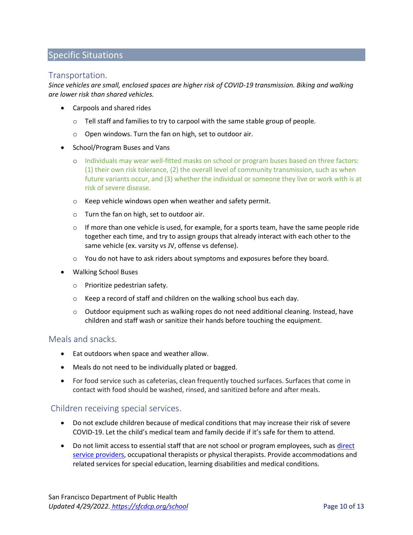## <span id="page-9-0"></span>Specific Situations

### <span id="page-9-1"></span>Transportation.

*Since vehicles are small, enclosed spaces are higher risk of COVID-19 transmission. Biking and walking are lower risk than shared vehicles.*

- Carpools and shared rides
	- $\circ$  Tell staff and families to try to carpool with the same stable group of people.
	- o Open windows. Turn the fan on high, set to outdoor air.
- School/Program Buses and Vans
	- o Individuals may wear well-fitted masks on school or program buses based on three factors: (1) their own risk tolerance, (2) the overall level of community transmission, such as when future variants occur, and (3) whether the individual or someone they live or work with is at risk of severe disease.
	- o Keep vehicle windows open when weather and safety permit.
	- o Turn the fan on high, set to outdoor air.
	- $\circ$  If more than one vehicle is used, for example, for a sports team, have the same people ride together each time, and try to assign groups that already interact with each other to the same vehicle (ex. varsity vs JV, offense vs defense).
	- $\circ$  You do not have to ask riders about symptoms and exposures before they board.
- Walking School Buses
	- o Prioritize pedestrian safety.
	- o Keep a record of staff and children on the walking school bus each day.
	- $\circ$  Outdoor equipment such as walking ropes do not need additional cleaning. Instead, have children and staff wash or sanitize their hands before touching the equipment.

#### <span id="page-9-2"></span>Meals and snacks.

- Eat outdoors when space and weather allow.
- Meals do not need to be individually plated or bagged.
- For food service such as cafeterias, clean frequently touched surfaces. Surfaces that come in contact with food should be washed, rinsed, and sanitized before and after meals.

#### <span id="page-9-3"></span>Children receiving special services.

- Do not exclude children because of medical conditions that may increase their risk of severe COVID-19. Let the child's medical team and family decide if it's safe for them to attend.
- Do not limit access to essential staff that are not school or program employees, such as direct [service providers,](https://www.cdc.gov/coronavirus/2019-ncov/need-extra-precautions/direct-service-providers.html) occupational therapists or physical therapists. Provide accommodations and related services for special education, learning disabilities and medical conditions.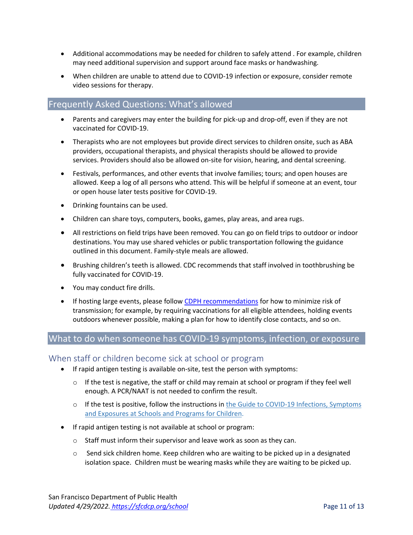- Additional accommodations may be needed for children to safely attend . For example, children may need additional supervision and support around face masks or handwashing.
- When children are unable to attend due to COVID-19 infection or exposure, consider remote video sessions for therapy.

### <span id="page-10-0"></span>Frequently Asked Questions: What's allowed

- Parents and caregivers may enter the building for pick-up and drop-off, even if they are not vaccinated for COVID-19.
- Therapists who are not employees but provide direct services to children onsite, such as ABA providers, occupational therapists, and physical therapists should be allowed to provide services. Providers should also be allowed on-site for vision, hearing, and dental screening.
- Festivals, performances, and other events that involve families; tours; and open houses are allowed. Keep a log of all persons who attend. This will be helpful if someone at an event, tour or open house later tests positive for COVID-19.
- Drinking fountains can be used.
- Children can share toys, computers, books, games, play areas, and area rugs.
- All restrictions on field trips have been removed. You can go on field trips to outdoor or indoor destinations. You may use shared vehicles or public transportation following the guidance outlined in this document. Family-style meals are allowed.
- Brushing children's teeth is allowed. CDC recommends that staff involved in toothbrushing be fully vaccinated for COVID-19.
- You may conduct fire drills.
- If hosting large events, please follo[w CDPH recommendations](https://www.cdph.ca.gov/Programs/CID/DCDC/Pages/COVID-19/Schools-FAQ.aspx) for how to minimize risk of transmission; for example, by requiring vaccinations for all eligible attendees, holding events outdoors whenever possible, making a plan for how to identify close contacts, and so on.

## <span id="page-10-1"></span>What to do when someone has COVID-19 symptoms, infection, or exposure

#### <span id="page-10-2"></span>When staff or children become sick at school or program

- If rapid antigen testing is available on-site, test the person with symptoms:
	- $\circ$  If the test is negative, the staff or child may remain at school or program if they feel well enough. A PCR/NAAT is not needed to confirm the result.
	- o If the test is positive, follow the instructions in the Guide to COVID-19 Infections, Symptoms and Exposures at [Schools and Programs for Children.](https://www.sfdph.org/dph/covid-19/schools-isolation-and-quarantine.asp#steps)
- If rapid antigen testing is not available at school or program:
	- $\circ$  Staff must inform their supervisor and leave work as soon as they can.
	- $\circ$  Send sick children home. Keep children who are waiting to be picked up in a designated isolation space. Children must be wearing masks while they are waiting to be picked up.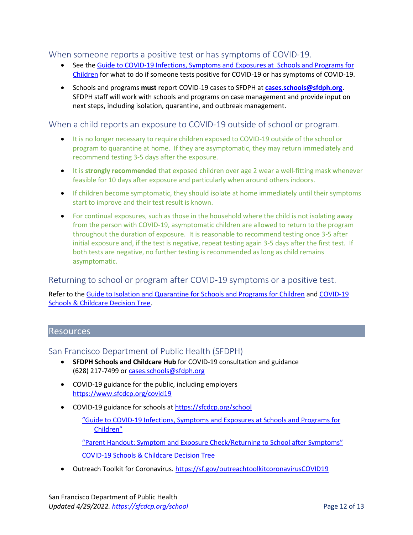### <span id="page-11-0"></span>When someone reports a positive test or has symptoms of COVID-19.

- See the Guide to [COVID-19 Infections, Symptoms and Exposures at Schools and Programs for](https://www.sfdph.org/dph/covid-19/schools-isolation-and-quarantine.asp)  [Children](https://www.sfdph.org/dph/covid-19/schools-isolation-and-quarantine.asp) for what to do if someone tests positive for COVID-19 or has symptoms of COVID-19.
- Schools and programs **must** report COVID-19 cases to SFDPH at **[cases.schools@sfdph.org](mailto:cases.schools@sfdph.org)**. SFDPH staff will work with schools and programs on case management and provide input on next steps, including isolation, quarantine, and outbreak management.

<span id="page-11-1"></span>When a child reports an exposure to COVID-19 outside of school or program.

- It is no longer necessary to require children exposed to COVID-19 outside of the school or program to quarantine at home. If they are asymptomatic, they may return immediately and recommend testing 3-5 days after the exposure.
- It is **strongly recommended** that exposed children over age 2 wear a well-fitting mask whenever feasible for 10 days after exposure and particularly when around others indoors.
- If children become symptomatic, they should isolate at home immediately until their symptoms start to improve and their test result is known.
- For continual exposures, such as those in the household where the child is not isolating away from the person with COVID-19, asymptomatic children are allowed to return to the program throughout the duration of exposure. It is reasonable to recommend testing once 3-5 after initial exposure and, if the test is negative, repeat testing again 3-5 days after the first test. If both tests are negative, no further testing is recommended as long as child remains asymptomatic.

## <span id="page-11-2"></span>Returning to school or program after COVID-19 symptoms or a positive test.

Refer to the Guide [to Isolation and Quarantine for Schools and Programs for Children](https://www.sfdph.org/dph/covid-19/schools-isolation-and-quarantine.asp#return) an[d COVID-19](https://www.sfdph.org/dph/files/ig/covid-decision-tree-children.pdf)  [Schools & Childcare Decision Tree.](https://www.sfdph.org/dph/files/ig/covid-decision-tree-children.pdf)

### <span id="page-11-3"></span>Resources

#### <span id="page-11-4"></span>San Francisco Department of Public Health (SFDPH)

- **SFDPH Schools and Childcare Hub** for COVID-19 consultation and guidance (628) 217-7499 or [cases.schools@sfdph.org](mailto:schoolschildcaresites@sfdph.org)
- COVID-19 guidance for the public, including employers <https://www.sfcdcp.org/covid19>
- COVID-19 guidance for schools at [https://sfcdcp.org/school](https://sfcdcp.org/CovidSchoolsChildcare)
	- "[Guide to COVID-19 Infections, Symptoms and Exposures at Schools and Programs for](https://www.sfdph.org/dph/covid-19/schools-isolation-and-quarantine.asp)  [Children](https://www.sfdph.org/dph/covid-19/schools-isolation-and-quarantine.asp)" ["Parent Handout: Symptom and Exposure Check/Returning to School after Symptoms"](https://www.sfdph.org/dph/files/ig/Parent-Guardian-Health-Check-Handout.pdf)

[COVID-19 Schools & Childcare Decision Tree](https://www.sfdph.org/dph/files/ig/covid-decision-tree-children.pdf)

• Outreach Toolkit for Coronavirus. [https://sf.gov/outreachtoolkitcoronavirusCOVID19](https://sf.gov/outreach-toolkit-coronavirus-covid-19)